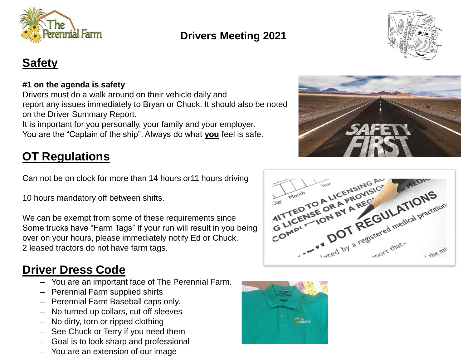



## **Safety**

#### **#1 on the agenda is safety**

Drivers must do a walk around on their vehicle daily and report any issues immediately to Bryan or Chuck. It should also be noted on the Driver Summary Report.

It is important for you personally, your family and your employer. You are the "Captain of the ship". Always do what **you** feel is safe.

## **OT Regulations**

Can not be on clock for more than 14 hours or11 hours driving

10 hours mandatory off between shifts.

We can be exempt from some of these requirements since Some trucks have "Farm Tags" If your run will result in you being over on your hours, please immediately notify Ed or Chuck. 2 leased tractors do not have farm tags.

### **Driver Dress Code**

- You are an important face of The Perennial Farm.
- Perennial Farm supplied shirts
- Perennial Farm Baseball caps only.
- No turned up collars, cut off sleeves
- No dirty, torn or ripped clothing
- See Chuck or Terry if you need them
- Goal is to look sharp and professional
- You are an extension of our image





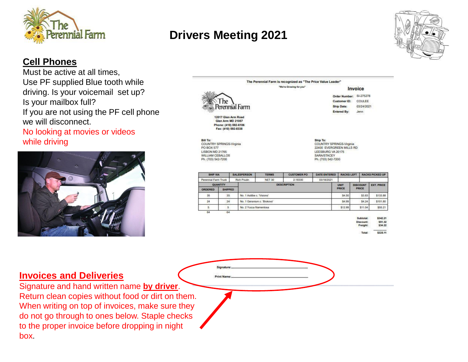



#### **Cell Phones**

Must be active at all times, Use PF supplied Blue tooth while driving. Is your voicemail set up? Is your mailbox full? If you are not using the PF cell phone we will disconnect.

No looking at movies or videos while driving



|                                                                                                                  |                                                 |                            |               | "We're Growing for you" |                                                                                           | Invoice                     |  |                                    |                                           |
|------------------------------------------------------------------------------------------------------------------|-------------------------------------------------|----------------------------|---------------|-------------------------|-------------------------------------------------------------------------------------------|-----------------------------|--|------------------------------------|-------------------------------------------|
|                                                                                                                  |                                                 |                            |               |                         |                                                                                           | Order Number: SI-275278     |  |                                    |                                           |
|                                                                                                                  | ne                                              |                            |               |                         |                                                                                           | Customer ID:                |  | COULEE                             |                                           |
|                                                                                                                  |                                                 | Perennial Farm             |               |                         |                                                                                           | Ship Date:                  |  | 03/24/2021                         |                                           |
|                                                                                                                  |                                                 |                            |               |                         |                                                                                           | <b>Entered By:</b>          |  | Jenn.                              |                                           |
| <b>Bill To:</b><br>COUNTRY SPRINGS-Virginia<br>PO BOX 577                                                        | <b>Glen Arm MD 21057</b><br>Fax: (410) 592-8338 | Phone: (410) 592-6106      |               |                         | Ship To:<br>COUNTRY SPRINGS-Virginia                                                      |                             |  |                                    |                                           |
|                                                                                                                  |                                                 |                            |               |                         | 22400 EVERGREEN MILLS RD<br>LEESBURG VA 20175<br><b>SARA/STACEY</b><br>Ph. (703) 542-7200 |                             |  |                                    |                                           |
| SHIP VIA                                                                                                         |                                                 | <b>SALESPERSON</b>         | <b>TERMS</b>  | <b>CUSTOMER PO</b>      | <b>DATE ENTERED</b>                                                                       | <b>RACKS LEFT</b>           |  |                                    |                                           |
|                                                                                                                  |                                                 | Rich Poulin                | <b>NET 30</b> | 2-18330                 | 03/18/2021                                                                                |                             |  |                                    | <b>RACKS PICKED UP</b>                    |
| <b>QUANTITY</b>                                                                                                  | SHIPPED                                         |                            |               | <b>DESCRIPTION</b>      |                                                                                           | <b>UNIT</b><br><b>PRICE</b> |  | <b>DISCOUNT</b><br><b>PRICE</b>    |                                           |
| 35                                                                                                               | 35                                              | No. 1 Astibe c. Visions'.  |               |                         |                                                                                           | \$4.50                      |  | \$3.83                             | <b>EXT. PRICE</b><br>\$133.88             |
| 24                                                                                                               | $24^{\circ}$                                    | No. 1 Geranium c. Biokovo* |               |                         |                                                                                           | \$4.99                      |  | \$4.24                             | \$101.80                                  |
| 5                                                                                                                | 5                                               | No. 2 Yuoca filamentosa    |               |                         |                                                                                           | \$12.99                     |  | \$11.04                            |                                           |
| <b>LISBON MD 21765</b><br><b>WILLIAM CEBALLOS</b><br>Ph. (703) 542-7200<br>Perennial Farm Truck<br>ORDERED<br>64 | 64                                              |                            |               |                         |                                                                                           |                             |  | Subtotal:<br>Discount:<br>Freight: | \$55.21<br>\$342.21<br>\$51.32<br>\$34.22 |

#### **Invoices and Deliveries**

Signature and hand written name **by driver**. Return clean copies without food or dirt on them. When writing on top of invoices, make sure they do not go through to ones below. Staple checks to the proper invoice before dropping in night box.

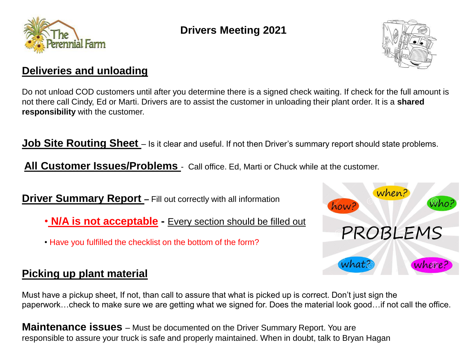



#### **Deliveries and unloading**

Do not unload COD customers until after you determine there is a signed check waiting. If check for the full amount is not there call Cindy, Ed or Marti. Drivers are to assist the customer in unloading their plant order. It is a **shared responsibility** with the customer.

**Job Site Routing Sheet** – Is it clear and useful. If not then Driver's summary report should state problems.

All Customer **Issues/Problems** - Call office. Ed, Marti or Chuck while at the customer.

**Driver Summary Report** – Fill out correctly with all information

- **N/A is not acceptable -** Every section should be filled out
- Have you fulfilled the checklist on the bottom of the form?



#### **Picking up plant material**

Must have a pickup sheet, If not, than call to assure that what is picked up is correct. Don't just sign the paperwork…check to make sure we are getting what we signed for. Does the material look good…if not call the office.

**Maintenance issues** – Must be documented on the Driver Summary Report. You are responsible to assure your truck is safe and properly maintained. When in doubt, talk to Bryan Hagan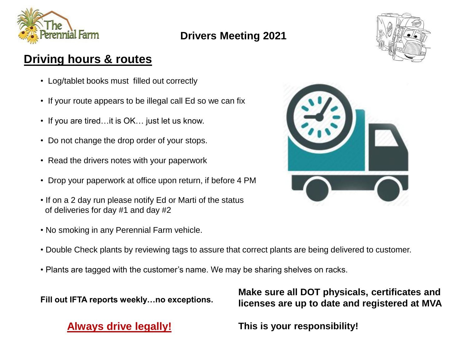



## **Driving hours & routes**

- Log/tablet books must filled out correctly
- If your route appears to be illegal call Ed so we can fix
- If you are tired…it is OK… just let us know.
- Do not change the drop order of your stops.
- Read the drivers notes with your paperwork
- Drop your paperwork at office upon return, if before 4 PM
- If on a 2 day run please notify Ed or Marti of the status of deliveries for day #1 and day #2
- No smoking in any Perennial Farm vehicle.
- Double Check plants by reviewing tags to assure that correct plants are being delivered to customer.
- Plants are tagged with the customer's name. We may be sharing shelves on racks.

**Fill out IFTA reports weekly…no exceptions.**

**Always drive legally!**

**Make sure all DOT physicals, certificates and licenses are up to date and registered at MVA**

**This is your responsibility!**